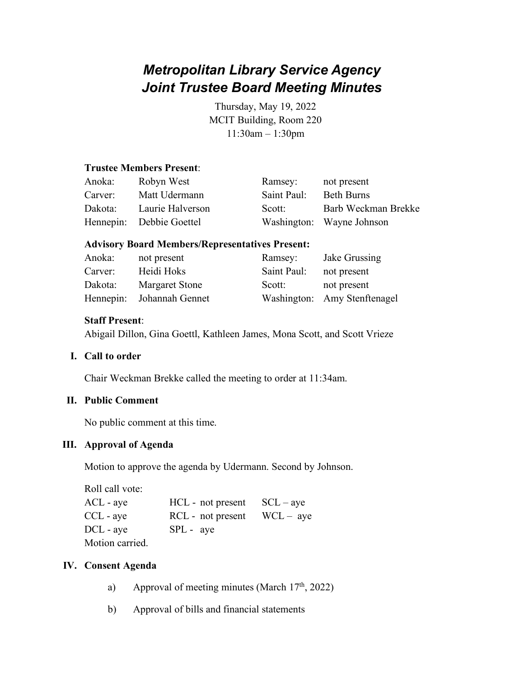# *Metropolitan Library Service Agency Joint Trustee Board Meeting Minutes*

Thursday, May 19, 2022 MCIT Building, Room 220 11:30am – 1:30pm

# **Trustee Members Present**:

| Anoka:  | Robyn West               | Ramsey:     | not present               |
|---------|--------------------------|-------------|---------------------------|
| Carver: | Matt Udermann            | Saint Paul: | <b>Beth Burns</b>         |
| Dakota: | Laurie Halverson         | Scott:      | Barb Weckman Brekke       |
|         | Hennepin: Debbie Goettel |             | Washington: Wayne Johnson |

#### **Advisory Board Members/Representatives Present:**

| Anoka:  | not present               | Ramsey:     | Jake Grussing                |
|---------|---------------------------|-------------|------------------------------|
| Carver: | Heidi Hoks                | Saint Paul: | not present                  |
| Dakota: | Margaret Stone            | Scott:      | not present                  |
|         | Hennepin: Johannah Gennet |             | Washington: Amy Stenftenagel |

# **Staff Present**:

Abigail Dillon, Gina Goettl, Kathleen James, Mona Scott, and Scott Vrieze

#### **I. Call to order**

Chair Weckman Brekke called the meeting to order at 11:34am.

#### **II. Public Comment**

No public comment at this time.

#### **III. Approval of Agenda**

Motion to approve the agenda by Udermann. Second by Johnson.

| Roll call vote: |                   |             |
|-----------------|-------------------|-------------|
| $ACL$ - aye     | HCL - not present | $SCL - ave$ |
| CCL - aye       | RCL - not present | $WCL - aye$ |
| $DCL$ - aye     | $SPL - aye$       |             |
| Motion carried. |                   |             |

#### **IV. Consent Agenda**

- a) Approval of meeting minutes (March  $17<sup>th</sup>$ , 2022)
- b) Approval of bills and financial statements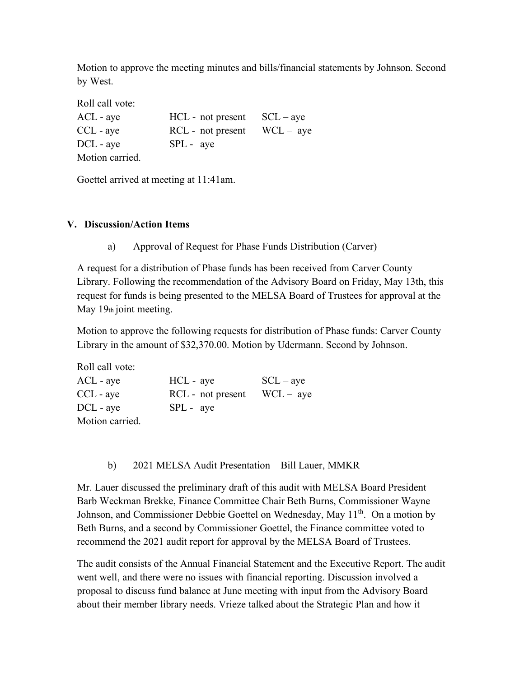Motion to approve the meeting minutes and bills/financial statements by Johnson. Second by West.

| Roll call vote: |                                 |  |
|-----------------|---------------------------------|--|
| $ACL$ - aye     | $HCL$ - not present $SCL - aye$ |  |
| $CCL$ - aye     | $RCL$ - not present $WCL - aye$ |  |
| $DCL - ave$     | $SPL - aye$                     |  |
| Motion carried. |                                 |  |

Goettel arrived at meeting at 11:41am.

# **V. Discussion/Action Items**

a) Approval of Request for Phase Funds Distribution (Carver)

A request for a distribution of Phase funds has been received from Carver County Library. Following the recommendation of the Advisory Board on Friday, May 13th, this request for funds is being presented to the MELSA Board of Trustees for approval at the May  $19<sub>th</sub>$  joint meeting.

Motion to approve the following requests for distribution of Phase funds: Carver County Library in the amount of \$32,370.00. Motion by Udermann. Second by Johnson.

| Roll call vote: |                   |             |
|-----------------|-------------------|-------------|
| $ACL$ - aye     | HCL - aye         | $SCL - ave$ |
| $CCL$ - aye     | RCL - not present | $WCL - aye$ |
| $DCL - ave$     | $SPL - ave$       |             |
| Motion carried. |                   |             |

b) 2021 MELSA Audit Presentation – Bill Lauer, MMKR

Mr. Lauer discussed the preliminary draft of this audit with MELSA Board President Barb Weckman Brekke, Finance Committee Chair Beth Burns, Commissioner Wayne Johnson, and Commissioner Debbie Goettel on Wednesday, May 11<sup>th</sup>. On a motion by Beth Burns, and a second by Commissioner Goettel, the Finance committee voted to recommend the 2021 audit report for approval by the MELSA Board of Trustees.

The audit consists of the Annual Financial Statement and the Executive Report. The audit went well, and there were no issues with financial reporting. Discussion involved a proposal to discuss fund balance at June meeting with input from the Advisory Board about their member library needs. Vrieze talked about the Strategic Plan and how it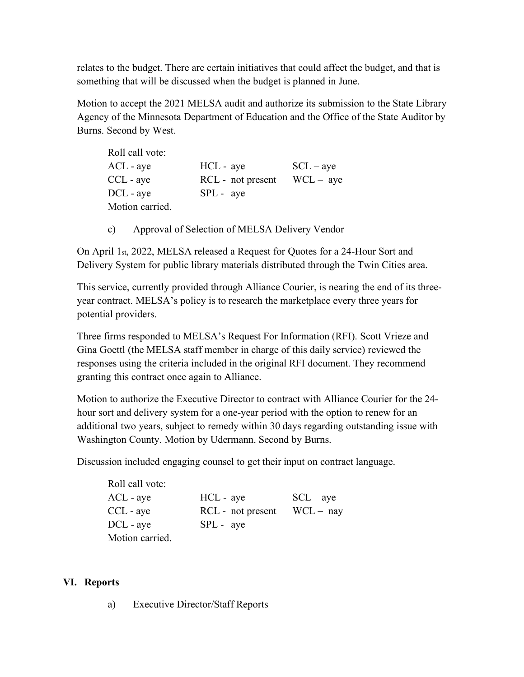relates to the budget. There are certain initiatives that could affect the budget, and that is something that will be discussed when the budget is planned in June.

Motion to accept the 2021 MELSA audit and authorize its submission to the State Library Agency of the Minnesota Department of Education and the Office of the State Auditor by Burns. Second by West.

| Roll call vote: |                   |             |
|-----------------|-------------------|-------------|
| ACL - aye       | HCL - aye         | $SCL - ave$ |
| CCL - aye       | RCL - not present | $WCL - aye$ |
| DCL - aye       | $SPL - ave$       |             |
| Motion carried. |                   |             |

c) Approval of Selection of MELSA Delivery Vendor

On April 1st, 2022, MELSA released a Request for Quotes for a 24-Hour Sort and Delivery System for public library materials distributed through the Twin Cities area.

This service, currently provided through Alliance Courier, is nearing the end of its threeyear contract. MELSA's policy is to research the marketplace every three years for potential providers.

Three firms responded to MELSA's Request For Information (RFI). Scott Vrieze and Gina Goettl (the MELSA staff member in charge of this daily service) reviewed the responses using the criteria included in the original RFI document. They recommend granting this contract once again to Alliance.

Motion to authorize the Executive Director to contract with Alliance Courier for the 24 hour sort and delivery system for a one-year period with the option to renew for an additional two years, subject to remedy within 30 days regarding outstanding issue with Washington County. Motion by Udermann. Second by Burns.

Discussion included engaging counsel to get their input on contract language.

| Roll call vote: |                   |             |
|-----------------|-------------------|-------------|
| $ACL$ - aye     | HCL - aye         | $SCL - ave$ |
| $CCL$ - aye     | RCL - not present | $WCL - nay$ |
| DCL - aye       | $SPL - aye$       |             |
| Motion carried. |                   |             |

# **VI. Reports**

a) Executive Director/Staff Reports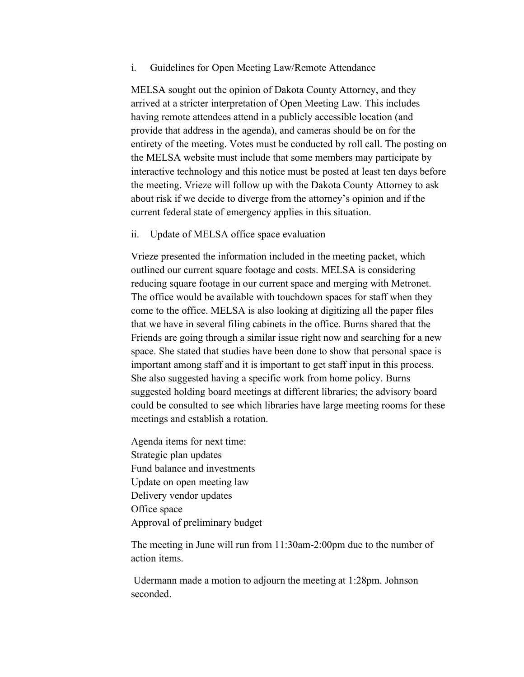i. Guidelines for Open Meeting Law/Remote Attendance

MELSA sought out the opinion of Dakota County Attorney, and they arrived at a stricter interpretation of Open Meeting Law. This includes having remote attendees attend in a publicly accessible location (and provide that address in the agenda), and cameras should be on for the entirety of the meeting. Votes must be conducted by roll call. The posting on the MELSA website must include that some members may participate by interactive technology and this notice must be posted at least ten days before the meeting. Vrieze will follow up with the Dakota County Attorney to ask about risk if we decide to diverge from the attorney's opinion and if the current federal state of emergency applies in this situation.

ii. Update of MELSA office space evaluation

Vrieze presented the information included in the meeting packet, which outlined our current square footage and costs. MELSA is considering reducing square footage in our current space and merging with Metronet. The office would be available with touchdown spaces for staff when they come to the office. MELSA is also looking at digitizing all the paper files that we have in several filing cabinets in the office. Burns shared that the Friends are going through a similar issue right now and searching for a new space. She stated that studies have been done to show that personal space is important among staff and it is important to get staff input in this process. She also suggested having a specific work from home policy. Burns suggested holding board meetings at different libraries; the advisory board could be consulted to see which libraries have large meeting rooms for these meetings and establish a rotation.

Agenda items for next time: Strategic plan updates Fund balance and investments Update on open meeting law Delivery vendor updates Office space Approval of preliminary budget

The meeting in June will run from 11:30am-2:00pm due to the number of action items.

Udermann made a motion to adjourn the meeting at 1:28pm. Johnson seconded.